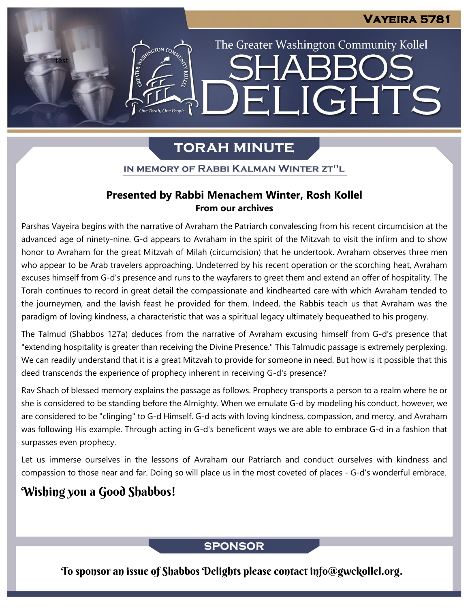The Greater Washington Community Kollel

ELIGHTS

# **TORAH MINUTE**

IN MEMORY OF RABBI KALMAN WINTER ZT"L

#### **Presented by Rabbi Menachem Winter, Rosh Kollel From our archives**

Parshas Vayeira begins with the narrative of Avraham the Patriarch convalescing from his recent circumcision at the advanced age of ninety-nine. G-d appears to Avraham in the spirit of the Mitzvah to visit the infirm and to show honor to Avraham for the great Mitzvah of Milah (circumcision) that he undertook. Avraham observes three men who appear to be Arab travelers approaching. Undeterred by his recent operation or the scorching heat, Avraham excuses himself from G-d's presence and runs to the wayfarers to greet them and extend an offer of hospitality. The Torah continues to record in great detail the compassionate and kindhearted care with which Avraham tended to the journeymen, and the lavish feast he provided for them. Indeed, the Rabbis teach us that Avraham was the paradigm of loving kindness, a characteristic that was a spiritual legacy ultimately bequeathed to his progeny.

The Talmud (Shabbos 127a) deduces from the narrative of Avraham excusing himself from G-d's presence that "extending hospitality is greater than receiving the Divine Presence." This Talmudic passage is extremely perplexing. We can readily understand that it is a great Mitzvah to provide for someone in need. But how is it possible that this deed transcends the experience of prophecy inherent in receiving G-d's presence?

Rav Shach of blessed memory explains the passage as follows. Prophecy transports a person to a realm where he or she is considered to be standing before the Almighty. When we emulate G-d by modeling his conduct, however, we are considered to be "clinging" to G-d Himself. G-d acts with loving kindness, compassion, and mercy, and Avraham was following His example. Through acting in G-d's beneficent ways we are able to embrace G-d in a fashion that surpasses even prophecy.

Let us immerse ourselves in the lessons of Avraham our Patriarch and conduct ourselves with kindness and compassion to those near and far. Doing so will place us in the most coveted of places - G-d's wonderful embrace.

## Wishing you a Good Shabbos!

test

ASSESSMAGTON CO

### **SPONSOR**

To sponsor an issue of Shabbos Delights please contact info@gwckollel.org.